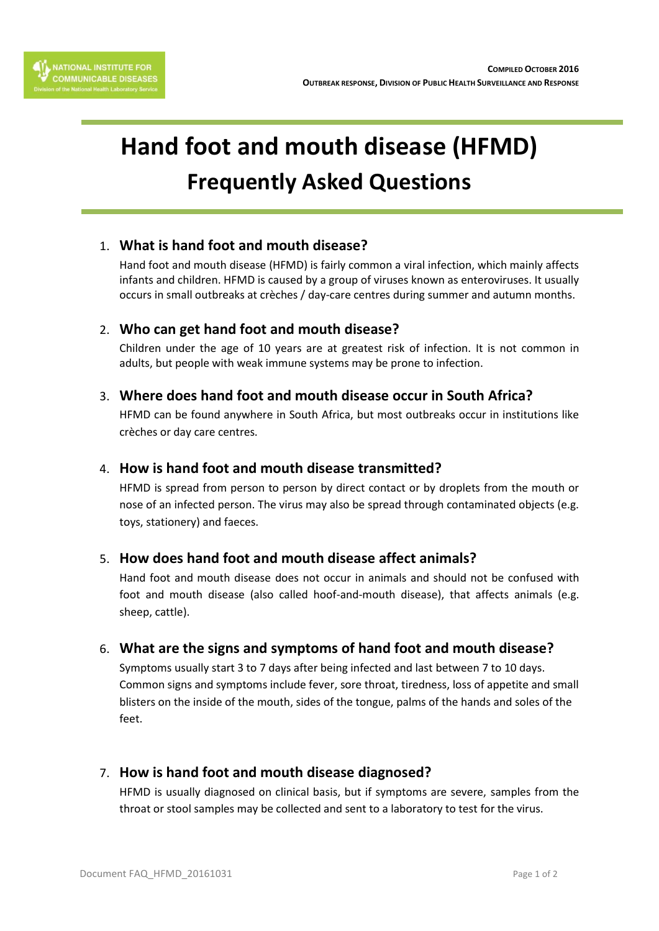



# **Hand foot and mouth disease (HFMD) Frequently Asked Questions**

## 1. **What is hand foot and mouth disease?**

Hand foot and mouth disease (HFMD) is fairly common a viral infection, which mainly affects infants and children. HFMD is caused by a group of viruses known as enteroviruses. It usually occurs in small outbreaks at crèches / day-care centres during summer and autumn months.

## 2. **Who can get hand foot and mouth disease?**

Children under the age of 10 years are at greatest risk of infection. It is not common in adults, but people with weak immune systems may be prone to infection.

#### 3. **Where does hand foot and mouth disease occur in South Africa?**

HFMD can be found anywhere in South Africa, but most outbreaks occur in institutions like crèches or day care centres.

#### 4. **How is hand foot and mouth disease transmitted?**

HFMD is spread from person to person by direct contact or by droplets from the mouth or nose of an infected person. The virus may also be spread through contaminated objects (e.g. toys, stationery) and faeces.

## 5. **How does hand foot and mouth disease affect animals?**

Hand foot and mouth disease does not occur in animals and should not be confused with foot and mouth disease (also called hoof-and-mouth disease), that affects animals (e.g. sheep, cattle).

## 6. **What are the signs and symptoms of hand foot and mouth disease?**

Symptoms usually start 3 to 7 days after being infected and last between 7 to 10 days. Common signs and symptoms include fever, sore throat, tiredness, loss of appetite and small blisters on the inside of the mouth, sides of the tongue, palms of the hands and soles of the feet.

## 7. **How is hand foot and mouth disease diagnosed?**

HFMD is usually diagnosed on clinical basis, but if symptoms are severe, samples from the throat or stool samples may be collected and sent to a laboratory to test for the virus.